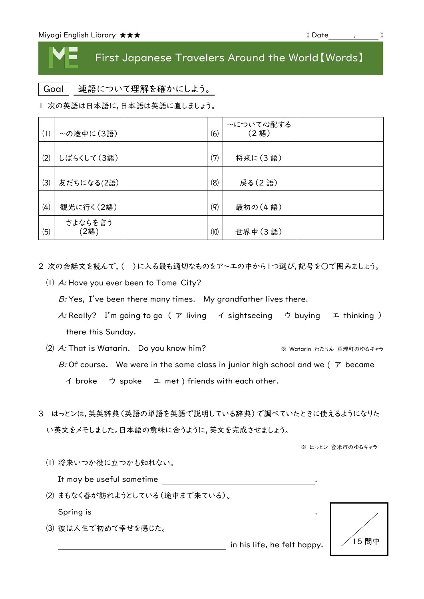## First Japanese Travelers Around the World【Words】

Goal 連語について理解を確かにしよう。

| 次の英語は日本語に,日本語は英語に直しましょう。

| (1) | ~の途中に(3語)       | (6)               | ~について心配する<br>(2語) |  |
|-----|-----------------|-------------------|-------------------|--|
| (2) | しばらくして(3語)      | (7)               | 将来に(3語)           |  |
| (3) | 友だちになる(2語)      | (8)               | 戻る(2語)            |  |
| (4) | 観光に行く(2語)       | $\left( q\right)$ | 最初の (4語)          |  |
| (5) | さよならを言う<br>(2語) | (10)              | 世界中(3語)           |  |

2 次の会話文を読んで,( )に入る最も適切なものをア~エの中から1つ選び,記号を○で囲みましょう。

⑴ A: Have you ever been to Tome City?

 $B$ : Yes, I've been there many times. My grandfather lives there.

- A: Really? I'm going to go (ア living イ sightseeing ウ buying エ thinking) there this Sunday.
- (2) A: That is Watarin. Do you know him? <br>※ Watarin わたりん 亘理町のゆるキャラ B: Of course. We were in the same class in junior high school and we ( $\tau$  became イ broke ウ spoke エ met ) friends with each other.
- 3 はっとンは,英英辞典(英語の単語を英語で説明している辞典)で調べていたときに使えるようになりた い英文をメモしました。日本語の意味に合うように,英文を完成させましょう。

※ はっとン 登米市のゆるキャラ

⑴ 将来いつか役に立つかも知れない。

It may be useful sometime .

⑵ まもなく春が訪れようとしている(途中まで来ている)。

Spring is <u>\_\_\_\_\_\_\_\_\_\_\_\_\_\_\_\_\_\_\_\_\_\_\_\_\_</u>

⑶ 彼は人生で初めて幸せを感じた。



in his life, he felt happy.